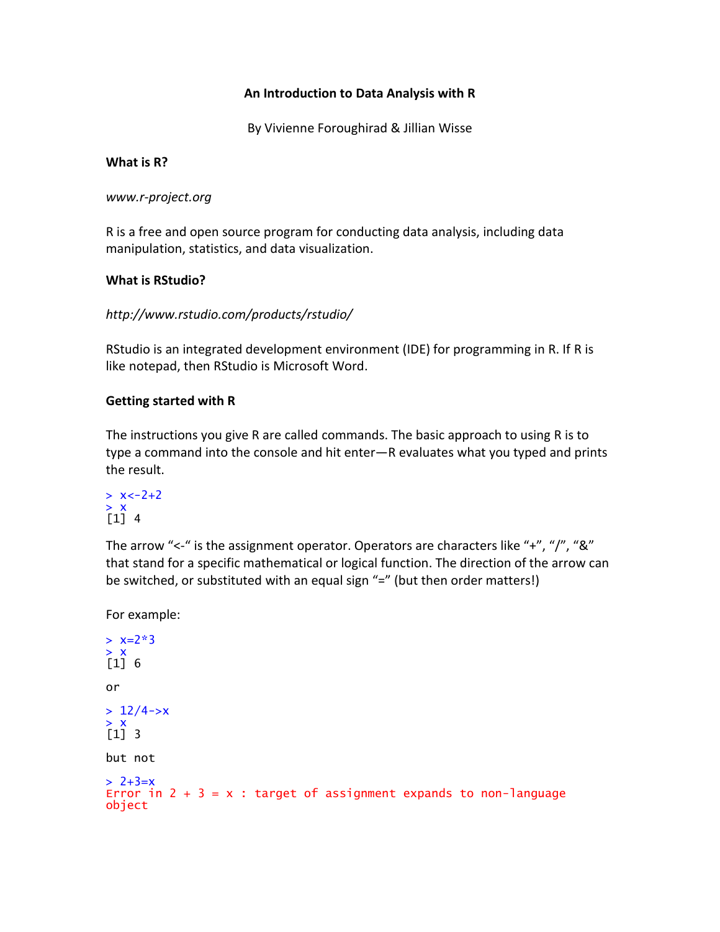## **An Introduction to Data Analysis with R**

By Vivienne Foroughirad & Jillian Wisse

#### **What is R?**

*www.r-project.org*

R is a free and open source program for conducting data analysis, including data manipulation, statistics, and data visualization.

## **What is RStudio?**

```
http://www.rstudio.com/products/rstudio/
```
RStudio is an integrated development environment (IDE) for programming in R. If R is like notepad, then RStudio is Microsoft Word.

# **Getting started with R**

The instructions you give R are called commands. The basic approach to using R is to type a command into the console and hit enter—R evaluates what you typed and prints the result.

```
> x < -2 + 2> x
[1] 4
```
The arrow "<-" is the assignment operator. Operators are characters like "+", "/", "&" that stand for a specific mathematical or logical function. The direction of the arrow can be switched, or substituted with an equal sign "=" (but then order matters!)

For example:

```
> x=2*3> x[1] 6
or
> 12/4 \rightarrow x> x[1] 3
but not
> 2+3=xError in 2 + 3 = x: target of assignment expands to non-language
object
```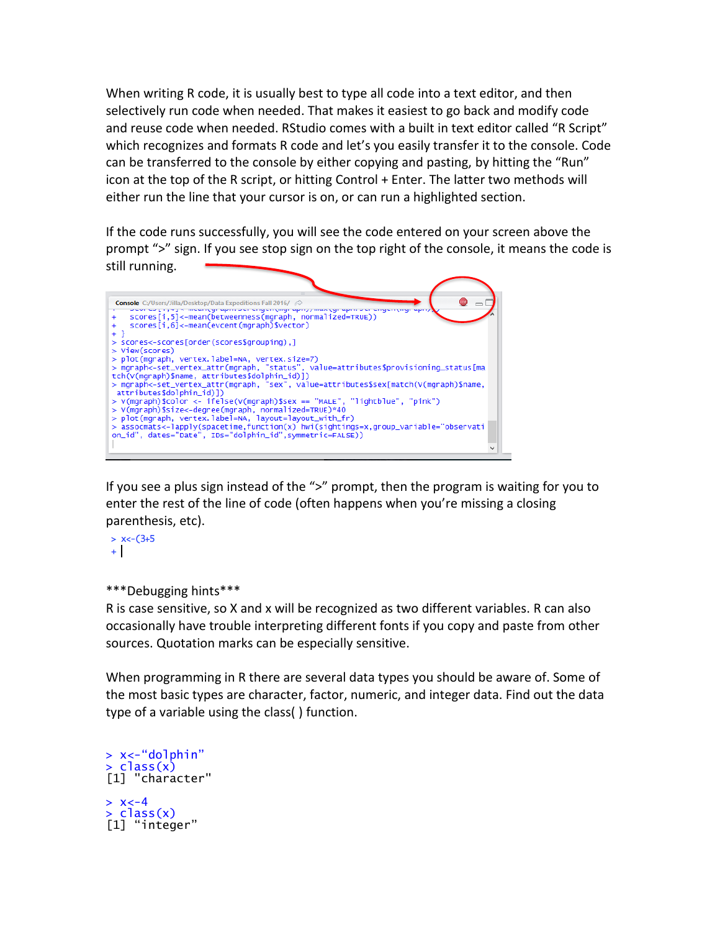When writing R code, it is usually best to type all code into a text editor, and then selectively run code when needed. That makes it easiest to go back and modify code and reuse code when needed. RStudio comes with a built in text editor called "R Script" which recognizes and formats R code and let's you easily transfer it to the console. Code can be transferred to the console by either copying and pasting, by hitting the "Run" icon at the top of the R script, or hitting Control + Enter. The latter two methods will either run the line that your cursor is on, or can run a highlighted section.

If the code runs successfully, you will see the code entered on your screen above the prompt ">" sign. If you see stop sign on the top right of the console, it means the code is still running.



If you see a plus sign instead of the ">" prompt, then the program is waiting for you to enter the rest of the line of code (often happens when you're missing a closing parenthesis, etc).

 $> x < -(3+5)$  $+$ 

\*\*\*Debugging hints\*\*\*

R is case sensitive, so X and x will be recognized as two different variables. R can also occasionally have trouble interpreting different fonts if you copy and paste from other sources. Quotation marks can be especially sensitive.

When programming in R there are several data types you should be aware of. Some of the most basic types are character, factor, numeric, and integer data. Find out the data type of a variable using the class( ) function.

```
> x<-"dolphin"
> class(x)[1] "character"
> x < -4> class(x)[1] "integer"
```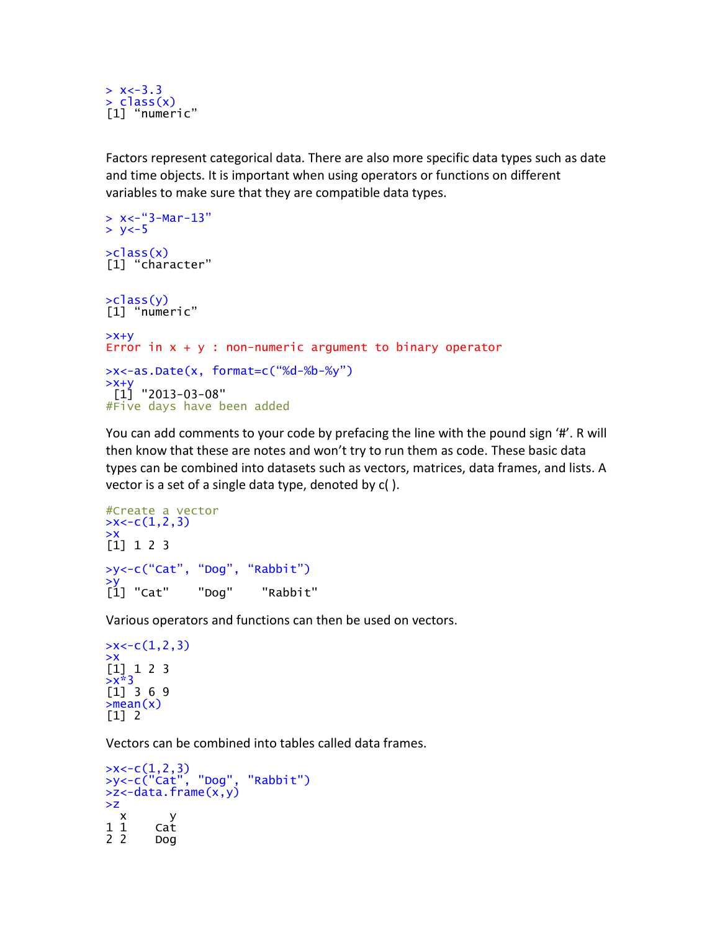$> x < -3.3$ > class(x) [1] "numeric"

Factors represent categorical data. There are also more specific data types such as date and time objects. It is important when using operators or functions on different variables to make sure that they are compatible data types.

```
> x < -"3-Mar-13"
> y < -5>class(x)[1] "character"
>class(y)
[1] "numeric"
>x+yError in x + y: non-numeric argument to binary operator
>x<-as.Date(x, format=c("%d-%b-%y")
>x+y
 [1] "2013-03-08"
#Five days have been added
```
You can add comments to your code by prefacing the line with the pound sign '#'. R will then know that these are notes and won't try to run them as code. These basic data types can be combined into datasets such as vectors, matrices, data frames, and lists. A vector is a set of a single data type, denoted by c( ).

```
#Create a vector
>\times <-c(1,2,3)>x
[1] 1 2 3
>y<-c("Cat", "Dog", "Rabbit")
>y
[1] "Cat" "Dog" "Rabbit"
```
Various operators and functions can then be used on vectors.

```
>x < -c(1,2,3)>x
[1] 1 2 3
>x*3[1] 3 6 9>mean(x)[1] 2
```
Vectors can be combined into tables called data frames.

```
>x<-c(1,2,3)
>y<-c("Cat", "Dog", "Rabbit")
>z<-data.frame(x,y)
>z
  \begin{array}{cc} x & y \\ 1 & cat \end{array}1 1 Cat
2 2 Dog
```